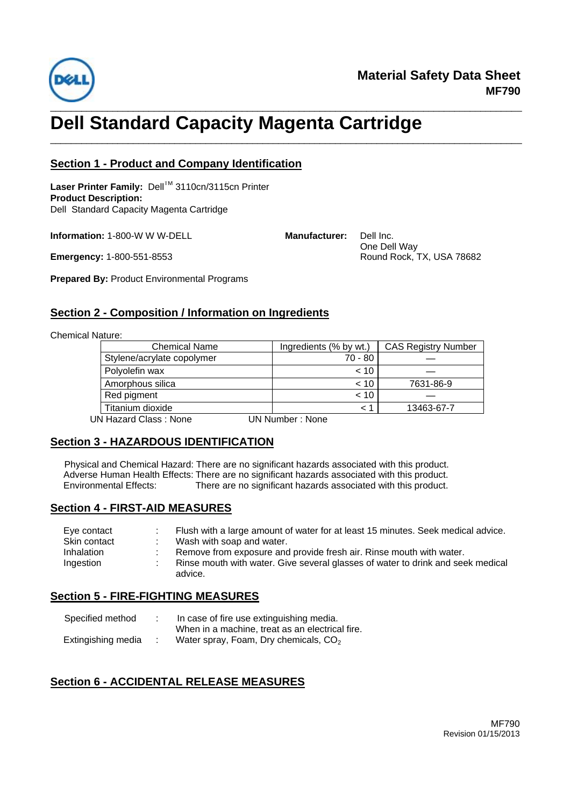

# \_\_\_\_\_\_\_\_\_\_\_\_\_\_\_\_\_\_\_\_\_\_\_\_\_\_\_\_\_\_\_\_\_\_\_\_\_\_\_\_\_\_\_\_\_\_\_\_\_\_\_\_\_\_\_\_\_\_\_\_\_\_\_\_\_\_\_\_\_\_\_\_\_\_\_\_\_\_\_\_\_\_\_\_\_\_\_\_\_\_\_ **Dell Standard Capacity Magenta Cartridge**

### **Section 1 - Product and Company Identification**

Laser Printer Family: Dell™ 3110cn/3115cn Printer **Product Description:** Dell Standard Capacity Magenta Cartridge

**Information:** 1-800-W W W-DELL

**Emergency:** 1-800-551-8553

**Manufacturer:** Dell Inc.

\_\_\_\_\_\_\_\_\_\_\_\_\_\_\_\_\_\_\_\_\_\_\_\_\_\_\_\_\_\_\_\_\_\_\_\_\_\_\_\_\_\_\_\_\_\_\_\_\_\_\_\_\_\_\_\_\_\_\_\_\_\_\_\_\_\_\_\_\_\_\_\_\_\_\_\_\_\_\_\_\_\_\_\_\_\_\_\_\_\_\_

 One Dell Way Round Rock, TX, USA 78682

**Prepared By:** Product Environmental Programs

#### **Section 2 - Composition / Information on Ingredients**

Chemical Nature:

| <b>Chemical Name</b>       | Ingredients (% by wt.) | <b>CAS Registry Number</b> |
|----------------------------|------------------------|----------------------------|
| Stylene/acrylate copolymer | 70 - 80                |                            |
| Polyolefin wax             | < 10                   |                            |
| Amorphous silica           | $~<$ 10                | 7631-86-9                  |
| Red pigment                | < 10                   |                            |
| Titanium dioxide           | $\leq$ 1               | 13463-67-7                 |
| UN Hazard Class: None      | UN Number: None        |                            |

## **Section 3 - HAZARDOUS IDENTIFICATION**

Physical and Chemical Hazard: There are no significant hazards associated with this product. Adverse Human Health Effects: There are no significant hazards associated with this product.<br>Environmental Effects: There are no significant hazards associated with this product. There are no significant hazards associated with this product.

## **Section 4 - FIRST-AID MEASURES**

| Eye contact  | Flush with a large amount of water for at least 15 minutes. Seek medical advice.           |
|--------------|--------------------------------------------------------------------------------------------|
| Skin contact | Wash with soap and water.                                                                  |
| Inhalation   | Remove from exposure and provide fresh air. Rinse mouth with water.                        |
| Ingestion    | Rinse mouth with water. Give several glasses of water to drink and seek medical<br>advice. |

## **Section 5 - FIRE-FIGHTING MEASURES**

| Specified method   | In case of fire use extinguishing media.        |  |  |
|--------------------|-------------------------------------------------|--|--|
|                    | When in a machine, treat as an electrical fire. |  |  |
| Extingishing media | Water spray, Foam, Dry chemicals, $CO2$         |  |  |

## **Section 6 - ACCIDENTAL RELEASE MEASURES**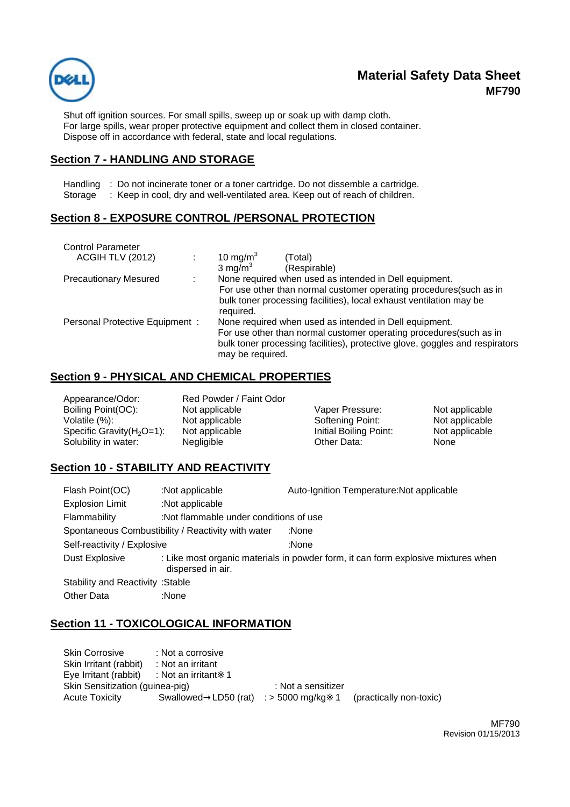

# **Material Safety Data Sheet MF790**

Shut off ignition sources. For small spills, sweep up or soak up with damp cloth. For large spills, wear proper protective equipment and collect them in closed container. Dispose off in accordance with federal, state and local regulations.

#### **Section 7 - HANDLING AND STORAGE**

Handling : Do not incinerate toner or a toner cartridge. Do not dissemble a cartridge.

Storage : Keep in cool, dry and well-ventilated area. Keep out of reach of children.

### **Section 8 - EXPOSURE CONTROL /PERSONAL PROTECTION**

| <b>Control Parameter</b><br>ACGIH TLV (2012) |  | 10 mg/m $3$<br>(Total)                                                           |
|----------------------------------------------|--|----------------------------------------------------------------------------------|
|                                              |  | 3 mg/m $3$<br>(Respirable)                                                       |
| <b>Precautionary Mesured</b>                 |  | None required when used as intended in Dell equipment.                           |
|                                              |  | For use other than normal customer operating procedures(such as in               |
|                                              |  | bulk toner processing facilities), local exhaust ventilation may be<br>required. |
| Personal Protective Equipment:               |  | None required when used as intended in Dell equipment.                           |
|                                              |  | For use other than normal customer operating procedures (such as in              |
|                                              |  | bulk toner processing facilities), protective glove, goggles and respirators     |
|                                              |  | may be required.                                                                 |

#### **Section 9 - PHYSICAL AND CHEMICAL PROPERTIES**

| Appearance/Odor:              | Red Powder / Faint Odor |                        |                |
|-------------------------------|-------------------------|------------------------|----------------|
| Boiling Point(OC):            | Not applicable          | Vaper Pressure:        | Not applicable |
| Volatile (%):                 | Not applicable          | Softening Point:       | Not applicable |
| Specific Gravity $(H_2O=1)$ : | Not applicable          | Initial Boiling Point: | Not applicable |
| Solubility in water:          | Negligible              | Other Data:            | None           |

#### **Section 10 - STABILITY AND REACTIVITY**

| Flash Point(OC)                                    | :Not applicable                        | Auto-Ignition Temperature: Not applicable                                         |  |
|----------------------------------------------------|----------------------------------------|-----------------------------------------------------------------------------------|--|
| <b>Explosion Limit</b>                             | :Not applicable                        |                                                                                   |  |
| Flammability                                       | :Not flammable under conditions of use |                                                                                   |  |
| Spontaneous Combustibility / Reactivity with water |                                        | :None                                                                             |  |
| Self-reactivity / Explosive                        |                                        | :None                                                                             |  |
| Dust Explosive                                     | dispersed in air.                      | : Like most organic materials in powder form, it can form explosive mixtures when |  |
| <b>Stability and Reactivity : Stable</b>           |                                        |                                                                                   |  |
| <b>Other Data</b>                                  | :None                                  |                                                                                   |  |

## **Section 11 - TOXICOLOGICAL INFORMATION**

| <b>Skin Corrosive</b>                     | : Not a corrosive |                                         |                         |
|-------------------------------------------|-------------------|-----------------------------------------|-------------------------|
| Skin Irritant (rabbit)                    | : Not an irritant |                                         |                         |
| Eye Irritant (rabbit) : Not an irritant 1 |                   |                                         |                         |
| Skin Sensitization (guinea-pig)           |                   | : Not a sensitizer                      |                         |
| <b>Acute Toxicity</b>                     |                   | Swallowed LD50 (rat) $:$ > 5000 mg/kg 1 | (practically non-toxic) |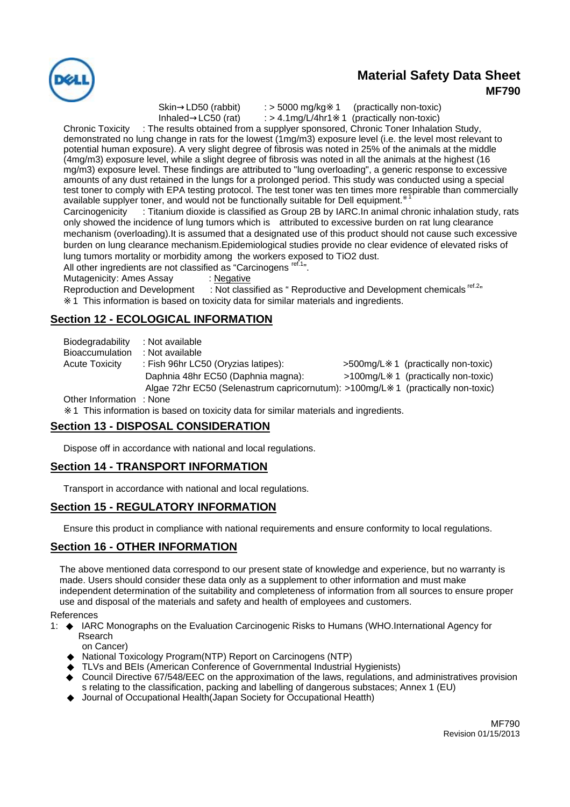

## **Material Safety Data Sheet MF790**

Skin LD50 (rabbit) : > 5000 mg/kg 1 (practically non-toxic)

Inhaled  $LC50$  (rat)  $\therefore$  > 4.1mg/L/4hr1 1 (practically non-toxic)

Chronic Toxicity : The results obtained from a supplyer sponsored, Chronic Toner Inhalation Study, demonstrated no lung change in rats for the lowest (1mg/m3) exposure level (i.e. the level most relevant to potential human exposure). A very slight degree of fibrosis was noted in 25% of the animals at the middle (4mg/m3) exposure level, while a slight degree of fibrosis was noted in all the animals at the highest (16 mg/m3) exposure level. These findings are attributed to "lung overloading", a generic response to excessive amounts of any dust retained in the lungs for a prolonged period. This study was conducted using a special test toner to comply with EPA testing protocol. The test toner was ten times more respirable than commercially available supplyer toner, and would not be functionally suitable for Dell equipment. <sup>1</sup>

Carcinogenicity : Titanium dioxide is classified as Group 2B by IARC.In animal chronic inhalation study, rats only showed the incidence of lung tumors which is attributed to excessive burden on rat lung clearance mechanism (overloading).It is assumed that a designated use of this product should not cause such excessive burden on lung clearance mechanism.Epidemiological studies provide no clear evidence of elevated risks of lung tumors mortality or morbidity among the workers exposed to TiO2 dust.

All other ingredients are not classified as "Carcinogens ref.1".

Mutagenicity: Ames Assay : Negative

Reproduction and Development : Not classified as " Reproductive and Development chemicals <sup>ref.2</sup>" 1 This information is based on toxicity data for similar materials and ingredients.

## **Section 12 - ECOLOGICAL INFORMATION**

Biodegradability : Not available Bioaccumulation : Not available Acute Toxicity : Fish 96hr LC50 (Oryzias latipes): >500mg/L 1 (practically non-toxic) Daphnia 48hr EC50 (Daphnia magna): >100mg/L 1 (practically non-toxic) Algae 72hr EC50 (Selenastrum capricornutum): >100mg/L 1 (practically non-toxic) Other Information : None

1 This information is based on toxicity data for similar materials and ingredients.

## **Section 13 - DISPOSAL CONSIDERATION**

Dispose off in accordance with national and local regulations.

## **Section 14 - TRANSPORT INFORMATION**

Transport in accordance with national and local regulations.

## **Section 15 - REGULATORY INFORMATION**

Ensure this product in compliance with national requirements and ensure conformity to local regulations.

## **Section 16 - OTHER INFORMATION**

The above mentioned data correspond to our present state of knowledge and experience, but no warranty is made. Users should consider these data only as a supplement to other information and must make independent determination of the suitability and completeness of information from all sources to ensure proper use and disposal of the materials and safety and health of employees and customers.

References

1: ◆ IARC Monographs on the Evaluation Carcinogenic Risks to Humans (WHO.International Agency for Rsearch

on Cancer)

National Toxicology Program(NTP) Report on Carcinogens (NTP)

TLVs and BEIs (American Conference of Governmental Industrial Hygienists)

Council Directive 67/548/EEC on the approximation of the laws, regulations, and administratives provision s relating to the classification, packing and labelling of dangerous substaces; Annex 1 (EU) Journal of Occupational Health(Japan Society for Occupational Heatth)